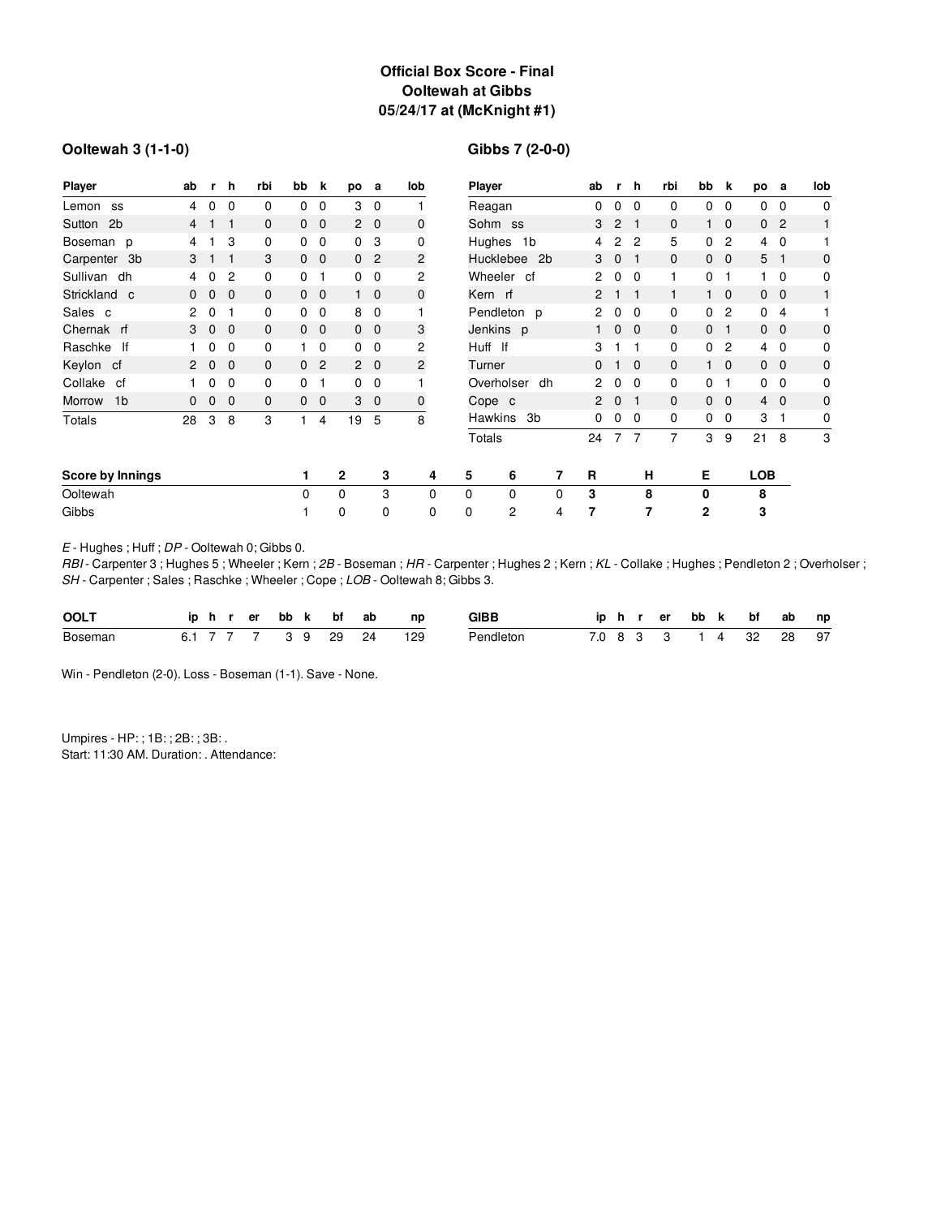# **Official Box Score - Final Ooltewah at Gibbs 05/24/17 at (McKnight #1)**

### **Ooltewah 3 (1-1-0)**

# **Gibbs 7 (2-0-0)**

| <b>Player</b>            | ab                   | r.           | $\mathbf h$    | rbi          | bb           | k              | po           | а              | lob            | Player               |              |                | ab                   | r.             | h        | rbi          | bb             | k              | po             | а                       | lob          |
|--------------------------|----------------------|--------------|----------------|--------------|--------------|----------------|--------------|----------------|----------------|----------------------|--------------|----------------|----------------------|----------------|----------|--------------|----------------|----------------|----------------|-------------------------|--------------|
| Lemon<br>SS              | 4                    | 0            | 0              | 0            | 0            | 0              | 3            | $\mathbf 0$    |                | Reagan               |              |                | 0                    | 0              | $\Omega$ | 0            | 0              | 0              | 0              | 0                       | $\mathbf 0$  |
| 2 <sub>b</sub><br>Sutton | $\overline{4}$       |              | 1              | $\mathbf{0}$ | $\mathbf{0}$ | $\mathbf 0$    |              | $2\quad 0$     | $\mathbf 0$    | Sohm ss              |              |                | 3                    | $\overline{2}$ | -1       | 0            | 1              | $\overline{0}$ | $\mathbf{0}$   | $\overline{2}$          | $\mathbf{1}$ |
| Boseman p                | 4                    |              | 3              | 0            | 0            | 0              | 0            | 3              | 0              |                      | Hughes 1b    |                | 4                    | 2              | 2        | 5            | 0              | $\overline{c}$ | $\overline{4}$ | $\mathbf{0}$            |              |
| Carpenter 3b             | 3                    |              | 1              | 3            | $\mathbf{0}$ | $\mathbf 0$    |              | 0 <sub>2</sub> | 2              |                      | Hucklebee 2b |                | 3                    | 0              | 1        | $\mathbf{0}$ | $\mathbf 0$    | $\mathbf{0}$   | 5              | -1                      | $\mathbf 0$  |
| Sullivan dh              | 4                    | 0            | $\overline{c}$ | 0            | 0            |                |              | $0\quad 0$     | 2              | Wheeler cf           |              |                | $\overline{2}$       | 0              | 0        | 1            | 0              | 1              |                | 0                       | $\mathbf 0$  |
| Strickland c             | $\mathbf{0}$         | $\mathbf{0}$ | $\overline{0}$ | $\mathbf{0}$ | $\mathbf{0}$ | $\overline{0}$ |              | $1\quad 0$     | $\mathbf 0$    | Kern rf              |              |                | $\overline{2}$       | 1              |          | 1            |                | $1\quad 0$     | $\mathbf 0$    | $\overline{\mathbf{0}}$ | 1            |
| Sales c                  | 2                    | 0            |                | 0            | 0            | 0              | 8            | $\mathbf 0$    |                | Pendleton p          |              |                | 2                    | 0              | 0        | 0            | 0              | $\overline{c}$ | 0              | 4                       |              |
| Chernak rf               | 3                    | $\mathbf 0$  | $\mathbf 0$    | $\mathbf{0}$ | $\mathbf{0}$ | $\mathbf 0$    |              | $0\quad 0$     | 3              | Jenkins p            |              |                | 1                    | 0              | $\Omega$ | 0            | $\mathbf{0}$   | 1              | $\mathbf{0}$   | - 0                     | 0            |
| lf<br>Raschke            |                      | 0            | 0              | 0            |              | 0              | 0            | $\mathbf{0}$   | $\overline{c}$ | Huff If              |              | 3              |                      |                | 0        | 0            | $\overline{c}$ | 4              | $\Omega$       | $\mathbf 0$             |              |
| Keylon cf                | $\mathbf{2}^{\circ}$ | $\mathbf{0}$ | $\mathbf 0$    | $\mathbf{0}$ | 0            | $\overline{c}$ |              | $2\quad 0$     | 2              | Turner               |              |                | $\Omega$             |                | $\Omega$ | $\Omega$     |                | $\mathbf{0}$   |                | $0\quad 0$              | $\mathbf 0$  |
| Collake<br>cf            |                      | 0            | 0              | 0            | 0            |                |              | $0\quad 0$     |                |                      | Overholser   | dh             | $\overline{2}$       | 0              | $\Omega$ | 0            | 0              | 1              | $\mathbf{0}$   | $\Omega$                | $\Omega$     |
| 1 <sub>b</sub><br>Morrow | 0                    | $\mathbf{0}$ | $\mathbf 0$    | $\mathbf{0}$ | 0            | 0              | 3            | $\overline{0}$ | 0              | Cope c               |              |                | $\mathbf{2}^{\circ}$ | $\mathbf{0}$   |          | 0            | $\mathbf{0}$   | $\overline{0}$ |                | $4\quad 0$              | $\mathbf 0$  |
| <b>Totals</b>            | 28                   | 3            | 8              | 3            |              | 4              | 19           | 5              | 8              | <b>Hawkins</b><br>3b |              | 0              | 0                    | $\Omega$       | 0        | 0            | 0              | 3              | 1              | $\mathbf 0$             |              |
|                          |                      |              |                |              |              |                |              |                |                | Totals               |              |                | 24                   | 7              | 7        | 7            | 3              | 9              | 21             | 8                       | 3            |
| Score by Innings         |                      |              |                |              | 1            |                | $\mathbf{2}$ | 3              | 4              | 5                    | 6            | $\overline{7}$ | R                    |                | н        |              | Е              |                | <b>LOB</b>     |                         |              |
| Ooltewah                 |                      |              |                |              | 0            |                | 0            | 3              | $\Omega$       | 0                    | $\Omega$     | 0              | 3                    |                | 8        |              | 0              |                | 8              |                         |              |
| Gibbs                    |                      |              |                |              |              |                | 0            | 0              | 0              | 0                    | 2            | 4              | 7                    |                | 7        |              | $\mathbf{2}$   |                | 3              |                         |              |

*E* - Hughes ; Huff ; *DP* - Ooltewah 0; Gibbs 0.

*RBI* - Carpenter 3 ; Hughes 5 ; Wheeler ; Kern ; *2B* - Boseman ; *HR* - Carpenter ; Hughes 2 ; Kern ; *KL* - Collake ; Hughes ; Pendleton 2 ; Overholser ; *SH* - Carpenter ; Sales ; Raschke ; Wheeler ; Cope ; *LOB* - Ooltewah 8; Gibbs 3.

| <b>OOLT</b> |  |  |  | iphrer bbk bf ab    | np  | <b>GIBB</b> |  |  |  | iphrer bbk bf ab    | np |
|-------------|--|--|--|---------------------|-----|-------------|--|--|--|---------------------|----|
| Boseman     |  |  |  | 6.1 7 7 7 3 9 29 24 | 129 | Pendleton   |  |  |  | 7.0 8 3 3 1 4 32 28 | 97 |

Win - Pendleton (2-0). Loss - Boseman (1-1). Save - None.

Umpires - HP: ; 1B: ; 2B: ; 3B: . Start: 11:30 AM. Duration: . Attendance: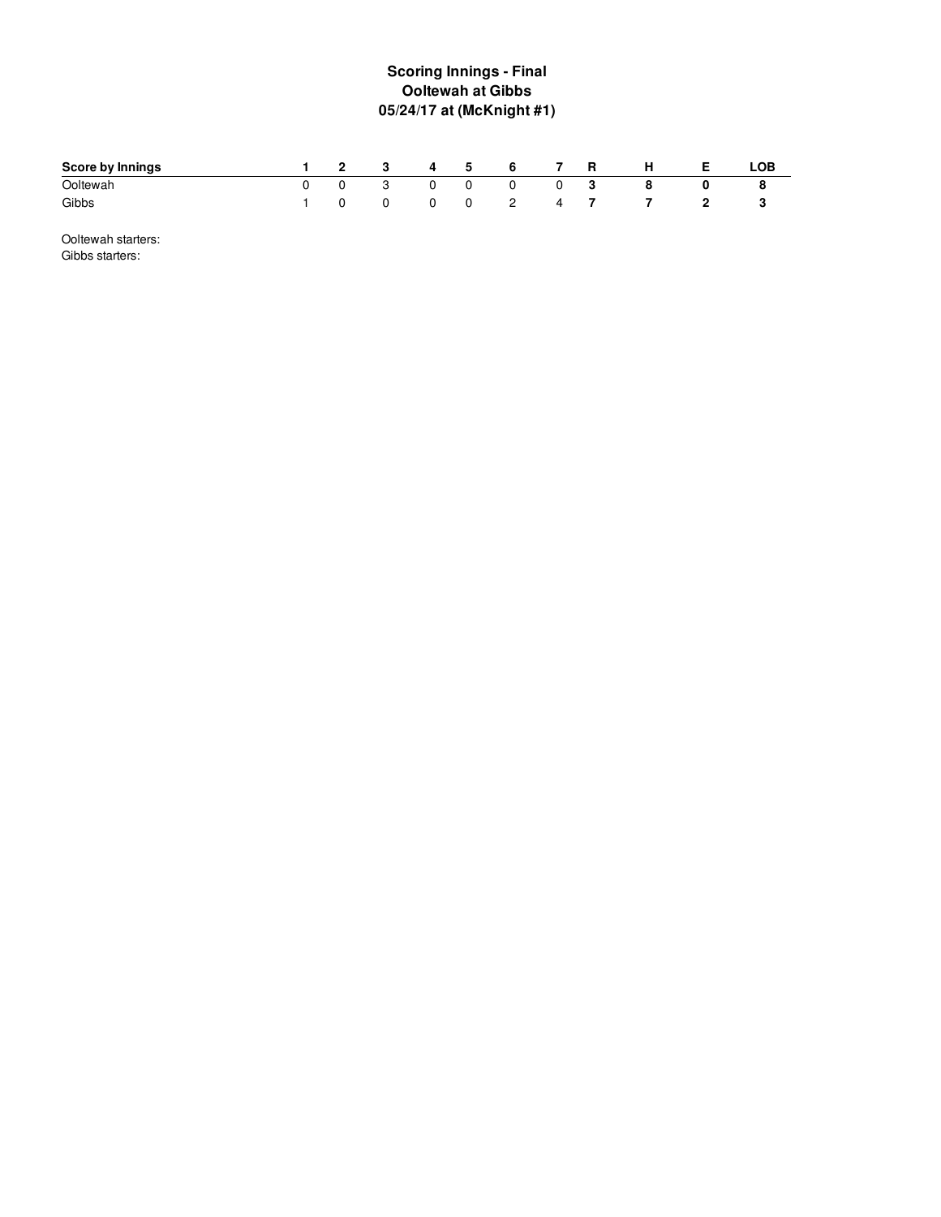# **S c o rin g In nin g s - Fin al Ooltewah at Gibbs 0 5 / 2 4 /1 7 a t ( M c K nig h t# 1 )**

| Score by Innings |  | 2 3 4 5 6               |     |   |         | 7 R      |     | - H | LOB |
|------------------|--|-------------------------|-----|---|---------|----------|-----|-----|-----|
| Ooltewah         |  | $\overline{\mathbf{3}}$ |     | 0 | 0       | $\Omega$ | - 3 |     |     |
| Gibbs            |  | $\mathbf{0}$            | - 0 |   | 0 2 4 7 |          |     |     |     |

Ooltewah starters: Gibbs starters: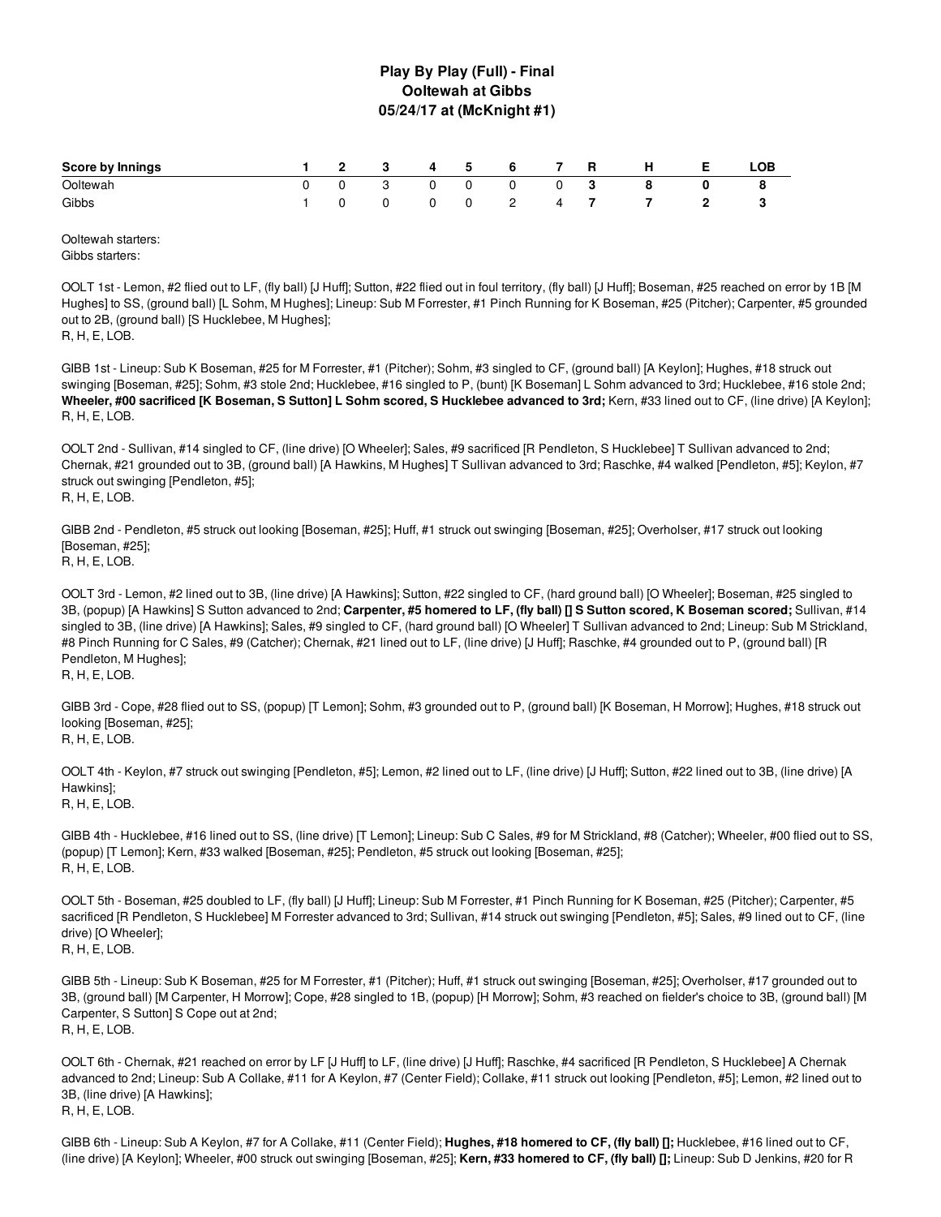### **Play By Play (Full) - Final Ooltewah at Gibbs 05/24/17 at (McKnight #1)**

| Score by Innings |  |          |  | 1 2 3 4 5 6 7 R |  | H.        | <b>E</b> | LOB. |
|------------------|--|----------|--|-----------------|--|-----------|----------|------|
| Ooltewah         |  |          |  | 0 0 3 0 0 0 0 3 |  | - 8       |          |      |
| Gibbs            |  | $\Omega$ |  |                 |  | 0 2 4 7 7 |          |      |

Ooltewah starters: Gibbs starters:

OOLT 1st - Lemon, #2 flied out to LF, (fly ball) [J Huff]; Sutton, #22 flied out in foul territory, (fly ball) [J Huff]; Boseman, #25 reached on error by 1B [M Hughes] to SS, (ground ball) [L Sohm, M Hughes]; Lineup: Sub M Forrester, #1 Pinch Running for K Boseman, #25 (Pitcher); Carpenter, #5 grounded out to 2B, (ground ball) [S Hucklebee, M Hughes];

R, H, E, LOB.

GIBB 1st - Lineup: Sub K Boseman, #25 for M Forrester, #1 (Pitcher); Sohm, #3 singled to CF, (ground ball) [A Keylon]; Hughes, #18 struck out swinging [Boseman, #25]; Sohm, #3 stole 2nd; Hucklebee, #16 singled to P, (bunt) [K Boseman] L Sohm advanced to 3rd; Hucklebee, #16 stole 2nd; Wheeler, #00 sacrificed [K Boseman, S Sutton] L Sohm scored, S Hucklebee advanced to 3rd; Kern, #33 lined out to CF, (line drive) [A Keylon]; R, H, E, LOB.

OOLT 2nd - Sullivan, #14 singled to CF, (line drive) [O Wheeler]; Sales, #9 sacrificed [R Pendleton, S Hucklebee] T Sullivan advanced to 2nd; Chernak, #21 grounded out to 3B, (ground ball) [A Hawkins, M Hughes] T Sullivan advanced to 3rd; Raschke, #4 walked [Pendleton, #5]; Keylon, #7 struck out swinging [Pendleton, #5]; R, H, E, LOB.

GIBB 2nd - Pendleton, #5 struck out looking [Boseman, #25]; Huff, #1 struck out swinging [Boseman, #25]; Overholser, #17 struck out looking [Boseman, #25];

R, H, E, LOB.

OOLT 3rd - Lemon, #2 lined out to 3B, (line drive) [A Hawkins]; Sutton, #22 singled to CF, (hard ground ball) [O Wheeler]; Boseman, #25 singled to 3B, (popup) [A Hawkins] S Sutton advanced to 2nd; Carpenter, #5 homered to LF, (fly ball) [] S Sutton scored, K Boseman scored; Sullivan, #14 singled to 3B, (line drive) [A Hawkins]; Sales, #9 singled to CF, (hard ground ball) [O Wheeler] T Sullivan advanced to 2nd; Lineup: Sub M Strickland, #8 Pinch Running for C Sales, #9 (Catcher); Chernak, #21 lined out to LF, (line drive) [J Huff]; Raschke, #4 grounded out to P, (ground ball) [R Pendleton, M Hughes]; R, H, E, LOB.

GIBB 3rd - Cope, #28 flied out to SS, (popup) [T Lemon]; Sohm, #3 grounded out to P, (ground ball) [K Boseman, H Morrow]; Hughes, #18 struck out looking [Boseman, #25]; R, H, E, LOB.

OOLT 4th - Keylon, #7 struck out swinging [Pendleton, #5]; Lemon, #2 lined out to LF, (line drive) [J Huff]; Sutton, #22 lined out to 3B, (line drive) [A Hawkins]; R, H, E, LOB.

GIBB 4th - Hucklebee, #16 lined out to SS, (line drive) [T Lemon]; Lineup: Sub C Sales, #9 for M Strickland, #8 (Catcher); Wheeler, #00 flied out to SS, (popup) [T Lemon]; Kern, #33 walked [Boseman, #25]; Pendleton, #5 struck out looking [Boseman, #25]; R, H, E, LOB.

OOLT 5th - Boseman, #25 doubled to LF, (fly ball) [J Huff]; Lineup: Sub M Forrester, #1 Pinch Running for K Boseman, #25 (Pitcher); Carpenter, #5 sacrificed [R Pendleton, S Hucklebee] M Forrester advanced to 3rd; Sullivan, #14 struck out swinging [Pendleton, #5]; Sales, #9 lined out to CF, (line drive) [O Wheeler]; R, H, E, LOB.

GIBB 5th - Lineup: Sub K Boseman, #25 for M Forrester, #1 (Pitcher); Huff, #1 struck out swinging [Boseman, #25]; Overholser, #17 grounded out to 3B, (ground ball) [M Carpenter, H Morrow]; Cope, #28 singled to 1B, (popup) [H Morrow]; Sohm, #3 reached on fielder's choice to 3B, (ground ball) [M Carpenter, S Sutton] S Cope out at 2nd; R, H, E, LOB.

OOLT 6th - Chernak, #21 reached on error by LF [J Huff] to LF, (line drive) [J Huff]; Raschke, #4 sacrificed [R Pendleton, S Hucklebee] A Chernak advanced to 2nd; Lineup: Sub A Collake, #11 for A Keylon, #7 (Center Field); Collake, #11 struck out looking [Pendleton, #5]; Lemon, #2 lined out to 3B, (line drive) [A Hawkins]; R, H, E, LOB.

GIBB 6th - Lineup: Sub A Keylon, #7 for A Collake, #11 (Center Field); **Hughes, #18 homered to CF, (fly ball) [];** Hucklebee, #16 lined out to CF, (line drive) [A Keylon]; Wheeler, #00 struck out swinging [Boseman, #25]; **Kern, #33 homered to CF, (fly ball) [];** Lineup: Sub D Jenkins, #20 for R